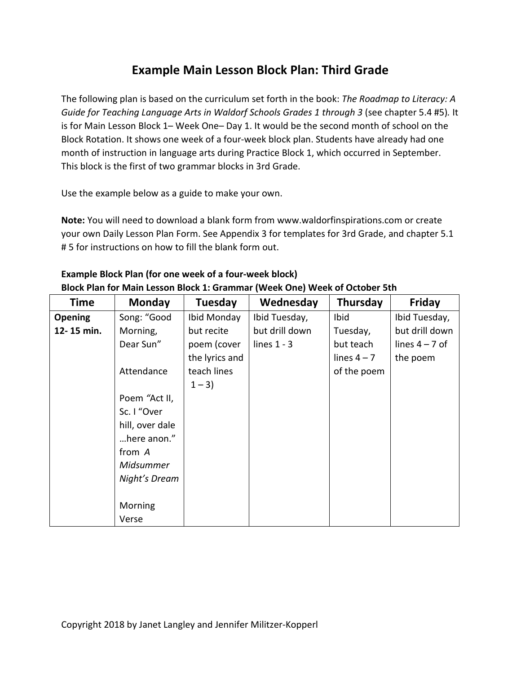## **Example Main Lesson Block Plan: Third Grade**

The following plan is based on the curriculum set forth in the book: *The Roadmap to Literacy: A Guide for Teaching Language Arts in Waldorf Schools Grades 1 through 3* (see chapter 5.4 #5)*.* It is for Main Lesson Block 1– Week One– Day 1. It would be the second month of school on the Block Rotation. It shows one week of a four-week block plan. Students have already had one month of instruction in language arts during Practice Block 1, which occurred in September. This block is the first of two grammar blocks in 3rd Grade.

Use the example below as a guide to make your own.

**Note:** You will need to download a blank form from www.waldorfinspirations.com or create your own Daily Lesson Plan Form. See Appendix 3 for templates for 3rd Grade, and chapter 5.1 # 5 for instructions on how to fill the blank form out.

| <b>Time</b>    | <b>Monday</b>   | Tuesday        | Wednesday      | Thursday      | Friday           |
|----------------|-----------------|----------------|----------------|---------------|------------------|
| <b>Opening</b> | Song: "Good     | Ibid Monday    | Ibid Tuesday,  | Ibid          | Ibid Tuesday,    |
| 12-15 min.     | Morning,        | but recite     | but drill down | Tuesday,      | but drill down   |
|                | Dear Sun"       | poem (cover    | lines $1 - 3$  | but teach     | lines $4 - 7$ of |
|                |                 | the lyrics and |                | lines $4 - 7$ | the poem         |
|                | Attendance      | teach lines    |                | of the poem   |                  |
|                |                 | $1 - 3$        |                |               |                  |
|                | Poem "Act II,   |                |                |               |                  |
|                | Sc. I "Over     |                |                |               |                  |
|                | hill, over dale |                |                |               |                  |
|                | here anon."     |                |                |               |                  |
|                | from A          |                |                |               |                  |
|                | Midsummer       |                |                |               |                  |
|                | Night's Dream   |                |                |               |                  |
|                |                 |                |                |               |                  |
|                | Morning         |                |                |               |                  |
|                | Verse           |                |                |               |                  |

## **Example Block Plan (for one week of a four-week block) Block Plan for Main Lesson Block 1: Grammar (Week One) Week of October 5th**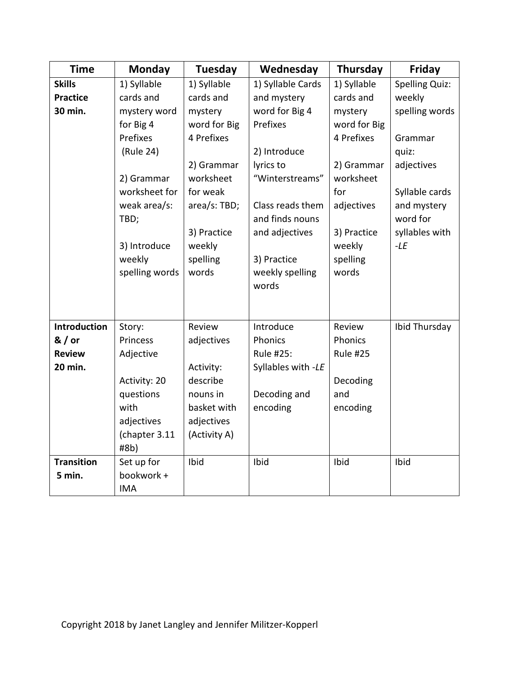| <b>Time</b>       | Monday               | <b>Tuesday</b> | Wednesday                           | Thursday        | Friday                  |
|-------------------|----------------------|----------------|-------------------------------------|-----------------|-------------------------|
| <b>Skills</b>     | 1) Syllable          | 1) Syllable    | 1) Syllable Cards                   | 1) Syllable     | <b>Spelling Quiz:</b>   |
| <b>Practice</b>   | cards and            | cards and      | and mystery                         | cards and       | weekly                  |
| 30 min.           | mystery word         | mystery        | word for Big 4                      | mystery         | spelling words          |
|                   | for Big 4            | word for Big   | Prefixes                            | word for Big    |                         |
|                   | Prefixes             | 4 Prefixes     |                                     | 4 Prefixes      | Grammar                 |
|                   | (Rule 24)            |                | 2) Introduce                        |                 | quiz:                   |
|                   |                      | 2) Grammar     | lyrics to                           | 2) Grammar      | adjectives              |
|                   | 2) Grammar           | worksheet      | "Winterstreams"                     | worksheet       |                         |
|                   | worksheet for        | for weak       |                                     | for             | Syllable cards          |
|                   | weak area/s:<br>TBD; | area/s: TBD;   | Class reads them<br>and finds nouns | adjectives      | and mystery<br>word for |
|                   |                      | 3) Practice    | and adjectives                      | 3) Practice     | syllables with          |
|                   | 3) Introduce         | weekly         |                                     | weekly          | $-LE$                   |
|                   | weekly               | spelling       | 3) Practice                         | spelling        |                         |
|                   | spelling words       | words          | weekly spelling                     | words           |                         |
|                   |                      |                | words                               |                 |                         |
|                   |                      |                |                                     |                 |                         |
| Introduction      | Story:               | Review         | Introduce                           | Review          | Ibid Thursday           |
| $&/$ or           | Princess             | adjectives     | Phonics                             | Phonics         |                         |
| <b>Review</b>     | Adjective            |                | Rule #25:                           | <b>Rule #25</b> |                         |
| 20 min.           |                      | Activity:      | Syllables with -LE                  |                 |                         |
|                   | Activity: 20         | describe       |                                     | Decoding        |                         |
|                   | questions            | nouns in       | Decoding and                        | and             |                         |
|                   | with                 | basket with    | encoding                            | encoding        |                         |
|                   | adjectives           | adjectives     |                                     |                 |                         |
|                   | (chapter 3.11        | (Activity A)   |                                     |                 |                         |
|                   | #8b)                 |                |                                     |                 |                         |
| <b>Transition</b> | Set up for           | Ibid           | Ibid                                | Ibid            | Ibid                    |
| 5 min.            | bookwork +           |                |                                     |                 |                         |
|                   | <b>IMA</b>           |                |                                     |                 |                         |